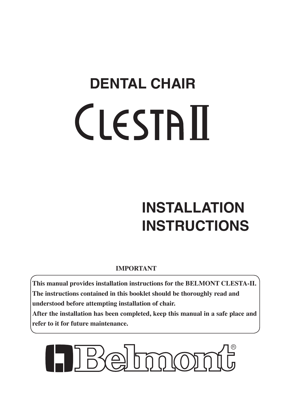# **DENTAL CHAIR CLESTAII**

# **INSTALLATION INSTRUCTIONS**

# **IMPORTANT**

**This manual provides installation instructions for the BELMONT CLESTA-II. The instructions contained in this booklet should be thoroughly read and understood before attempting installation of chair.** 

**After the installation has been completed, keep this manual in a safe place and refer to it for future maintenance.**

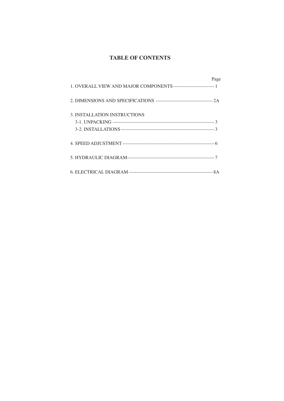#### **TABLE OF CONTENTS**

|                              | Page |
|------------------------------|------|
|                              |      |
| 3. INSTALLATION INSTRUCTIONS |      |
|                              |      |
|                              |      |
|                              |      |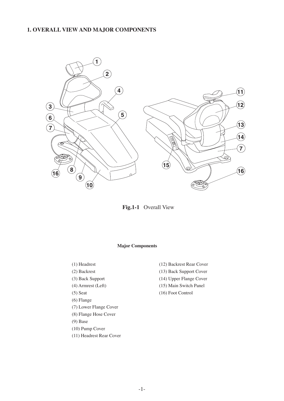#### **1. OVERALL VIEW AND MAJOR COMPONENTS**



**Fig.1-1** Overall View

#### **Major Components**

- (1) Headrest
- (2) Backrest
- (3) Back Support
- (4) Armrest (Left)
- (5) Seat
- (6) Flange
- (7) Lower Flange Cover
- (8) Flange Hose Cover
- (9) Base
- (10) Pump Cover
- (11) Headrest Rear Cover
- (12) Backrest Rear Cover
- (13) Back Support Cover
- (14) Upper Flange Cover
- (15) Main Switch Panel
- (16) Foot Control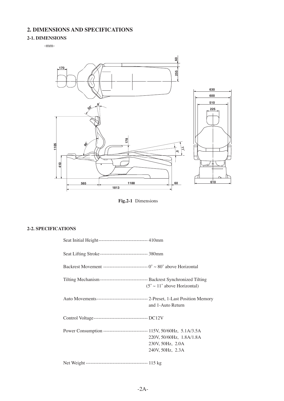## **2. DIMENSIONS AND SPECIFICATIONS**

#### **2-1. DIMENSIONS**

-mm-



**Fig.2-1** Dimensions

#### **2-2. SPECIFICATIONS**

| Seat Initial Height------------------------------- 410mm                                      |                                                                  |
|-----------------------------------------------------------------------------------------------|------------------------------------------------------------------|
| Seat Lifting Stroke------------------------------- 380mm                                      |                                                                  |
| Backrest Movement ------------------------------ $0^{\circ} \sim 80^{\circ}$ above Horizontal |                                                                  |
| Tilting Mechanism ---------------------------------- Backrest Synchronized Tilting            | $(5^{\circ} \sim 11^{\circ}$ above Horizontal)                   |
| Auto Movements--------------------------------- 2-Preset, 1-Last Position Memory              | and 1-Auto Return                                                |
|                                                                                               |                                                                  |
| Power Consumption ------------------------------ 115V, 50/60Hz, 5.1A/3.5A                     | 220V, 50/60Hz, 1.8A/1.8A<br>230V, 50Hz, 2.0A<br>240V, 50Hz, 2.3A |
|                                                                                               |                                                                  |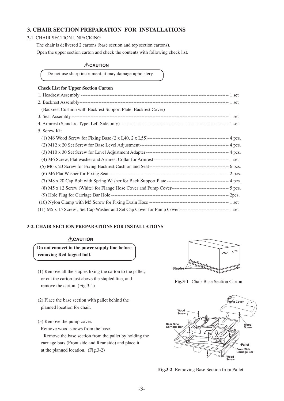#### **3. CHAIR SECTION PREPARATION FOR INSTALLATIONS**

#### 3-1. CHAIR SECTION UNPACKING

The chair is delivered 2 cartons (base section and top section cartons).

Open the upper section carton and check the contents with following check list.

#### **ACAUTION**

Do not use sharp instrument, it may damage upholstery.

#### **Check List for Upper Section Carton**

| (Backrest Cushion with Backrest Support Plate, Backrest Cover) |  |
|----------------------------------------------------------------|--|
|                                                                |  |
|                                                                |  |
| 5. Screw Kit                                                   |  |
|                                                                |  |
|                                                                |  |
|                                                                |  |
|                                                                |  |
|                                                                |  |
|                                                                |  |
|                                                                |  |
|                                                                |  |
|                                                                |  |
|                                                                |  |
|                                                                |  |

#### **3-2. CHAIR SECTION PREPARATIONS FOR INSTALLATIONS**

#### **ACAUTION**

 **Do not connect in the power supply line before removing Red tagged bolt.**

- (1) Remove all the staples fixing the carton to the pallet, or cut the carton just above the stapled line, and remove the carton. (Fig.3-1)
- (2) Place the base section with pallet behind the planned location for chair.
- (3) Remove the pump cover.

Remove wood screws from the base.

 Remove the base section from the pallet by holding the carriage bars (Front side and Rear side) and place it at the planned location. (Fig.3-2)



**Fig.3-1** Chair Base Section Carton



**Fig.3-2** Removing Base Section from Pallet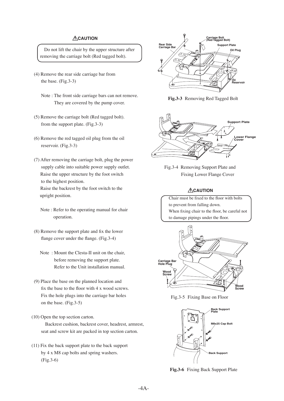#### **ACAUTION**

Do not lift the chair by the upper structure after removing the carriage bolt (Red tagged bolt).

- (4) Remove the rear side carriage bar from the base. (Fig.3-3)
	- Note : The front side carriage bars can not remove. They are covered by the pump cover.
- (5) Remove the carriage bolt (Red tagged bolt). from the support plate. (Fig.3-3)
- (6) Remove the red tagged oil plug from the oil reservoir. (Fig.3-3)
- (7) After removing the carriage bolt, plug the power supply cable into suitable power supply outlet. Raise the upper structure by the foot switch to the highest position. Raise the backrest by the foot switch to the upright position.
	- Note : Refer to the operating manual for chair operation.
- (8) Remove the support plate and fix the lower flange cover under the flange. (Fig.3-4)
	- Note : Mount the Clesta-II unit on the chair, before removing the support plate. Refer to the Unit installation manual.
- (9) Place the base on the planned location and fix the base to the floor with 4 x wood screws. Fix the hole plugs into the carriage bar holes on the base. (Fig.3-5)
- (10) Open the top section carton. Backrest cushion, backrest cover, headrest, armrest, seat and screw kit are packed in top section carton.
- (11) Fix the back support plate to the back support by 4 x M8 cap bolts and spring washers. (Fig.3-6)



**Fig.3-3** Removing Red Tagged Bolt



Fig.3-4 Removing Support Plate and Fixing Lower Flange Cover

#### **ACAUTION**

 Chair must be fixed to the floor with bolts to prevent from falling down. When fixing chair to the floor, be careful not to damage pipings under the floor.



Fig.3-5 Fixing Base on Floor



**Fig.3-6** Fixing Back Support Plate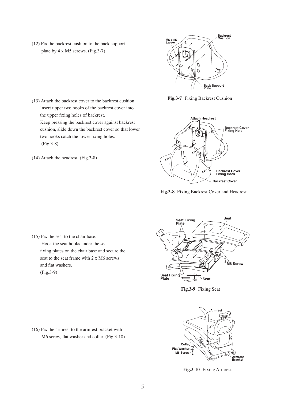- (12) Fix the backrest cushion to the back support plate by 4 x M5 screws. (Fig.3-7)
- **Backrest M5 x 25**<br>**Screw** / **Cushion**  $\mathcal{O}$  $\mathcal{O}$ **Back Support Plate**

**Fig.3-7** Fixing Backrest Cushion

- (13) Attach the backrest cover to the backrest cushion. Insert upper two hooks of the backrest cover into the upper fixing holes of backrest. Keep pressing the backrest cover against backrest cushion, slide down the backrest cover so that lower two hooks catch the lower fixing holes. (Fig.3-8)
- (14) Attach the headrest. (Fig.3-8)



**Fig.3-8** Fixing Backrest Cover and Headrest

 (15) Fix the seat to the chair base. Hook the seat hooks under the seat fixing plates on the chair base and secure the seat to the seat frame with 2 x M6 screws and flat washers. (Fig.3-9)



**Fig.3-9** Fixing Seat



**Fig.3-10** Fixing Armrest

-5-

 (16) Fix the armrest to the armrest bracket with M6 screw, flat washer and collar. (Fig.3-10)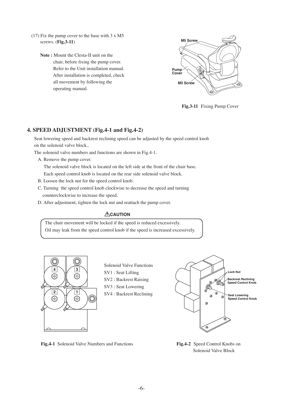- (17) Fix the pump cover to the base with 3 x M5 screws. (**Fig.3-11**)
	- **Note :** Mount the Clesta-II unit on the chair, before fixing the pump cover. Refer to the Unit installation manual. After installation is completed, check all movement by following the operating manual.



**Fig.3-11** Fixing Pump Cover

#### **4. SPEED ADJUSTMENT (Fig.4-1 and Fig.4-2)**

 Seat lowering speed and backrest reclining speed can be adjusted by the speed control knob on the solenoid valve block..

The solenoid valve numbers and functions are shown in Fig.4-1.

 A. Remove the pump cover.

 The solenoid valve block is located on the left side at the front of the chair base. Each speed control knob is located on the rear side solenoid valve block.

- B. Loosen the lock nut for the speed control knob.
- C. Turning the speed control knob clockwise to decrease the speed and turning counterclockwise to increase the speed.
- D. After adjustment, tighten the lock nut and reattach the pump cover.

#### **ACAUTION**

 The chair movement will be locked if the speed is reduced excessively. Oil may leak from the speed control knob if the speed is increased excessively.



Solenoid Valve Functions SV1 : Seat Lifting SV2 : Backrest Raising SV3 : Seat Lowering SV4 : Backrest Reclining



**Fig.4-1** Solenoid Valve Numbers and Functions

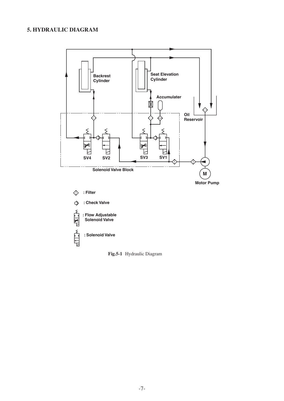### **5. HYDRAULIC DIAGRAM**



**Fig.5-1** Hydraulic Diagram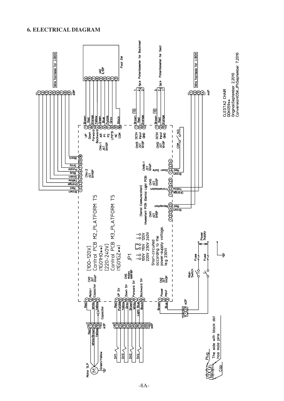#### **6. ELECTRICAL DIAGRAM**